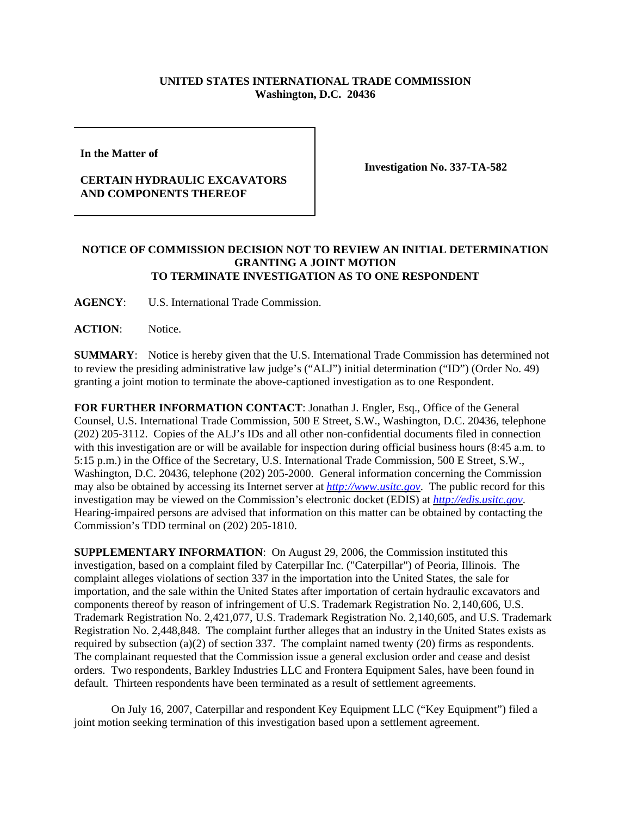## **UNITED STATES INTERNATIONAL TRADE COMMISSION Washington, D.C. 20436**

**In the Matter of** 

## **CERTAIN HYDRAULIC EXCAVATORS AND COMPONENTS THEREOF**

**Investigation No. 337-TA-582**

## **NOTICE OF COMMISSION DECISION NOT TO REVIEW AN INITIAL DETERMINATION GRANTING A JOINT MOTION TO TERMINATE INVESTIGATION AS TO ONE RESPONDENT**

**AGENCY**: U.S. International Trade Commission.

**ACTION**: Notice.

**SUMMARY**: Notice is hereby given that the U.S. International Trade Commission has determined not to review the presiding administrative law judge's ("ALJ") initial determination ("ID") (Order No. 49) granting a joint motion to terminate the above-captioned investigation as to one Respondent.

**FOR FURTHER INFORMATION CONTACT**: Jonathan J. Engler, Esq., Office of the General Counsel, U.S. International Trade Commission, 500 E Street, S.W., Washington, D.C. 20436, telephone (202) 205-3112. Copies of the ALJ's IDs and all other non-confidential documents filed in connection with this investigation are or will be available for inspection during official business hours (8:45 a.m. to 5:15 p.m.) in the Office of the Secretary, U.S. International Trade Commission, 500 E Street, S.W., Washington, D.C. 20436, telephone (202) 205-2000. General information concerning the Commission may also be obtained by accessing its Internet server at *http://www.usitc.gov*. The public record for this investigation may be viewed on the Commission's electronic docket (EDIS) at *http://edis.usitc.gov*. Hearing-impaired persons are advised that information on this matter can be obtained by contacting the Commission's TDD terminal on (202) 205-1810.

**SUPPLEMENTARY INFORMATION**: On August 29, 2006, the Commission instituted this investigation, based on a complaint filed by Caterpillar Inc. ("Caterpillar") of Peoria, Illinois. The complaint alleges violations of section 337 in the importation into the United States, the sale for importation, and the sale within the United States after importation of certain hydraulic excavators and components thereof by reason of infringement of U.S. Trademark Registration No. 2,140,606, U.S. Trademark Registration No. 2,421,077, U.S. Trademark Registration No. 2,140,605, and U.S. Trademark Registration No. 2,448,848. The complaint further alleges that an industry in the United States exists as required by subsection (a)(2) of section 337. The complaint named twenty (20) firms as respondents. The complainant requested that the Commission issue a general exclusion order and cease and desist orders. Two respondents, Barkley Industries LLC and Frontera Equipment Sales, have been found in default. Thirteen respondents have been terminated as a result of settlement agreements.

On July 16, 2007, Caterpillar and respondent Key Equipment LLC ("Key Equipment") filed a joint motion seeking termination of this investigation based upon a settlement agreement.